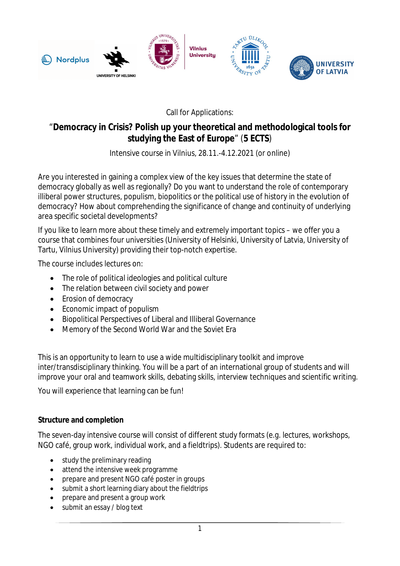

Call for Applications:

## "**Democracy in Crisis? Polish up your theoretical and methodological tools for studying the East of Europe**" (**5 ECTS**)

## Intensive course in Vilnius, 28.11.-4.12.2021 (or online)

Are you interested in gaining a complex view of the key issues that determine the state of democracy globally as well as regionally? Do you want to understand the role of contemporary illiberal power structures, populism, biopolitics or the political use of history in the evolution of democracy? How about comprehending the significance of change and continuity of underlying area specific societal developments?

If you like to learn more about these timely and extremely important topics – we offer you a course that combines four universities (University of Helsinki, University of Latvia, University of Tartu, Vilnius University) providing their top-notch expertise.

The course includes lectures on:

- The role of political ideologies and political culture
- The relation between civil society and power
- Erosion of democracy
- Economic impact of populism
- Biopolitical Perspectives of Liberal and Illiberal Governance
- Memory of the Second World War and the Soviet Era

This is an opportunity to learn to use a wide multidisciplinary toolkit and improve inter/transdisciplinary thinking. You will be a part of an international group of students and will improve your oral and teamwork skills, debating skills, interview techniques and scientific writing.

You will experience that learning can be fun!

## **Structure and completion**

The seven-day intensive course will consist of different study formats (e.g. lectures, workshops, NGO café, group work, individual work, and a fieldtrips). Students are required to:

- study the preliminary reading
- attend the intensive week programme
- prepare and present NGO café poster in groups
- submit a short learning diary about the fieldtrips
- prepare and present a group work
- submit an essay / blog text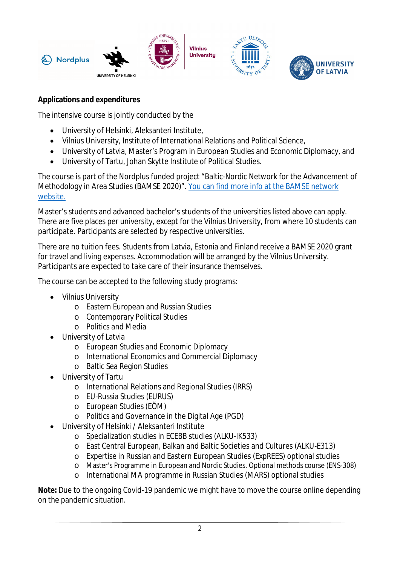

**Applications and expenditures**

The intensive course is jointly conducted by the

- University of Helsinki, Aleksanteri Institute,
- Vilnius University, Institute of International Relations and Political Science,
- University of Latvia, Master's Program in European Studies and Economic Diplomacy, and
- University of Tartu, Johan Skytte Institute of Political Studies.

The course is part of the Nordplus funded project "Baltic-Nordic Network for the Advancement of Methodology in Area Studies (BAMSE 2020)". You can find more info at the BAMSE network website.

Master's students and advanced bachelor's students of the universities listed above can apply. There are five places per university, except for the Vilnius University, from where 10 students can participate. Participants are selected by respective universities.

There are no tuition fees. Students from Latvia, Estonia and Finland receive a BAMSE 2020 grant for travel and living expenses. Accommodation will be arranged by the Vilnius University. Participants are expected to take care of their insurance themselves.

The course can be accepted to the following study programs:

- Vilnius University
	- o Eastern European and Russian Studies
	- o Contemporary Political Studies
	- o Politics and Media
- University of Latvia
	- o European Studies and Economic Diplomacy
	- o International Economics and Commercial Diplomacy
	- o Baltic Sea Region Studies
- University of Tartu
	- o International Relations and Regional Studies (IRRS)
	- o EU-Russia Studies (EURUS)
	- o European Studies (EÕM)
	- o Politics and Governance in the Digital Age (PGD)
- University of Helsinki / Aleksanteri Institute
	- o Specialization studies in ECEBB studies (ALKU-IK533)
	- o East Central European, Balkan and Baltic Societies and Cultures (ALKU-E313)
	- o Expertise in Russian and Eastern European Studies (ExpREES) optional studies
	- o Master's Programme in European and Nordic Studies, Optional methods course (ENS-308)
	- o International MA programme in Russian Studies (MARS) optional studies

**Note:** Due to the ongoing Covid-19 pandemic we might have to move the course online depending on the pandemic situation.